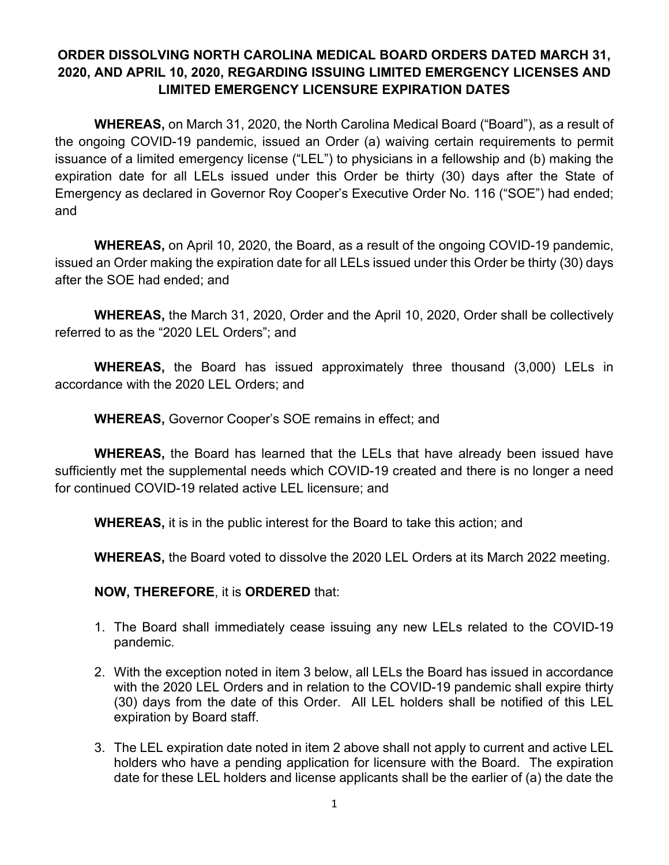## **ORDER DISSOLVING NORTH CAROLINA MEDICAL BOARD ORDERS DATED MARCH 31, 2020, AND APRIL 10, 2020, REGARDING ISSUING LIMITED EMERGENCY LICENSES AND LIMITED EMERGENCY LICENSURE EXPIRATION DATES**

**WHEREAS,** on March 31, 2020, the North Carolina Medical Board ("Board"), as a result of the ongoing COVID-19 pandemic, issued an Order (a) waiving certain requirements to permit issuance of a limited emergency license ("LEL") to physicians in a fellowship and (b) making the expiration date for all LELs issued under this Order be thirty (30) days after the State of Emergency as declared in Governor Roy Cooper's Executive Order No. 116 ("SOE") had ended; and

**WHEREAS,** on April 10, 2020, the Board, as a result of the ongoing COVID-19 pandemic, issued an Order making the expiration date for all LELs issued under this Order be thirty (30) days after the SOE had ended; and

**WHEREAS,** the March 31, 2020, Order and the April 10, 2020, Order shall be collectively referred to as the "2020 LEL Orders"; and

**WHEREAS,** the Board has issued approximately three thousand (3,000) LELs in accordance with the 2020 LEL Orders; and

**WHEREAS,** Governor Cooper's SOE remains in effect; and

**WHEREAS,** the Board has learned that the LELs that have already been issued have sufficiently met the supplemental needs which COVID-19 created and there is no longer a need for continued COVID-19 related active LEL licensure; and

**WHEREAS,** it is in the public interest for the Board to take this action; and

**WHEREAS,** the Board voted to dissolve the 2020 LEL Orders at its March 2022 meeting.

**NOW, THEREFORE**, it is **ORDERED** that:

- 1. The Board shall immediately cease issuing any new LELs related to the COVID-19 pandemic.
- 2. With the exception noted in item 3 below, all LELs the Board has issued in accordance with the 2020 LEL Orders and in relation to the COVID-19 pandemic shall expire thirty (30) days from the date of this Order. All LEL holders shall be notified of this LEL expiration by Board staff.
- 3. The LEL expiration date noted in item 2 above shall not apply to current and active LEL holders who have a pending application for licensure with the Board. The expiration date for these LEL holders and license applicants shall be the earlier of (a) the date the